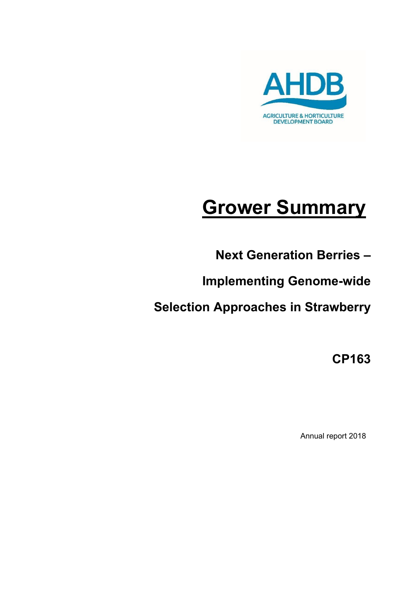

# **Grower Summary**

**Next Generation Berries –**

**Implementing Genome-wide** 

**Selection Approaches in Strawberry**

**CP163**

Annual report 2018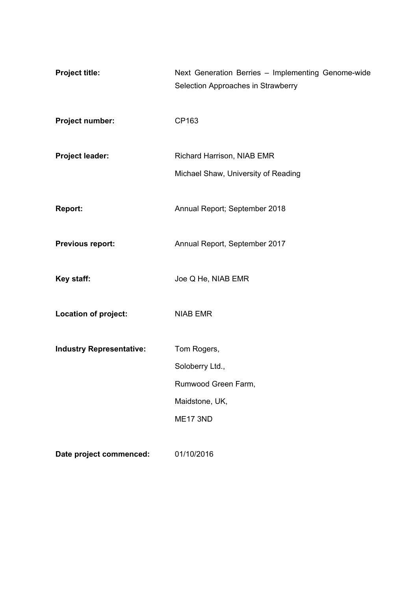| <b>Project title:</b>           | Next Generation Berries - Implementing Genome-wide<br>Selection Approaches in Strawberry |
|---------------------------------|------------------------------------------------------------------------------------------|
| Project number:                 | CP163                                                                                    |
| Project leader:                 | Richard Harrison, NIAB EMR                                                               |
|                                 | Michael Shaw, University of Reading                                                      |
| <b>Report:</b>                  | Annual Report; September 2018                                                            |
| <b>Previous report:</b>         | Annual Report, September 2017                                                            |
| Key staff:                      | Joe Q He, NIAB EMR                                                                       |
| Location of project:            | <b>NIAB EMR</b>                                                                          |
| <b>Industry Representative:</b> | Tom Rogers,                                                                              |
|                                 | Soloberry Ltd.,                                                                          |
|                                 | Rumwood Green Farm,                                                                      |
|                                 | Maidstone, UK,                                                                           |
|                                 | <b>ME17 3ND</b>                                                                          |
| Date project commenced:         | 01/10/2016                                                                               |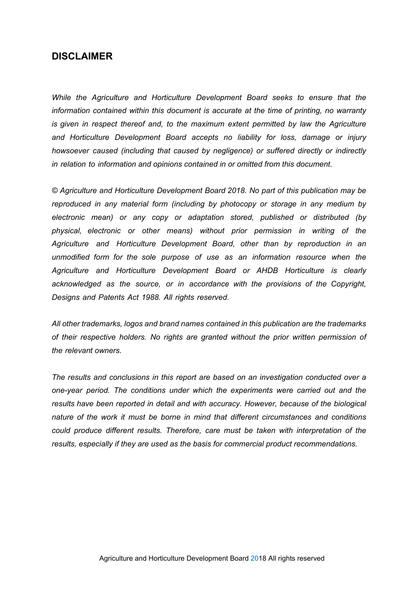## **DISCLAIMER**

*While the Agriculture and Horticulture Development Board seeks to ensure that the information contained within this document is accurate at the time of printing, no warranty*  is given in respect thereof and, to the maximum extent permitted by law the Agriculture *and Horticulture Development Board accepts no liability for loss, damage or injury howsoever caused (including that caused by negligence) or suffered directly or indirectly in relation to information and opinions contained in or omitted from this document.* 

*© Agriculture and Horticulture Development Board 2018. No part of this publication may be reproduced in any material form (including by photocopy or storage in any medium by electronic mean) or any copy or adaptation stored, published or distributed (by physical, electronic or other means) without prior permission in writing of the Agriculture and Horticulture Development Board, other than by reproduction in an unmodified form for the sole purpose of use as an information resource when the Agriculture and Horticulture Development Board or AHDB Horticulture is clearly acknowledged as the source, or in accordance with the provisions of the Copyright, Designs and Patents Act 1988. All rights reserved.* 

*All other trademarks, logos and brand names contained in this publication are the trademarks of their respective holders. No rights are granted without the prior written permission of the relevant owners.* 

*The results and conclusions in this report are based on an investigation conducted over a one-year period. The conditions under which the experiments were carried out and the results have been reported in detail and with accuracy. However, because of the biological nature of the work it must be borne in mind that different circumstances and conditions could produce different results. Therefore, care must be taken with interpretation of the results, especially if they are used as the basis for commercial product recommendations.*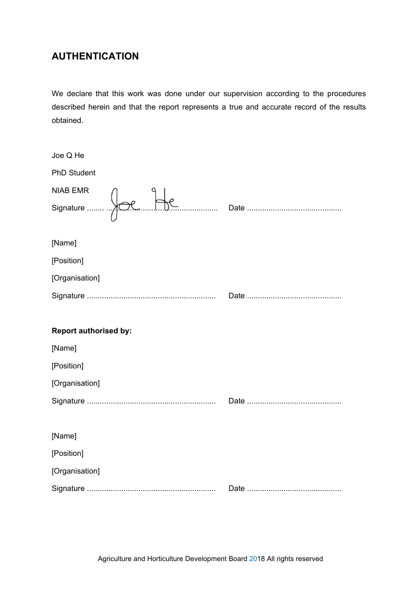# **AUTHENTICATION**

We declare that this work was done under our supervision according to the procedures described herein and that the report represents a true and accurate record of the results obtained.

| Joe Q He                     |  |
|------------------------------|--|
| <b>PhD Student</b>           |  |
| <b>NIAB EMR</b>              |  |
|                              |  |
| [Name]                       |  |
| [Position]                   |  |
| [Organisation]               |  |
|                              |  |
|                              |  |
|                              |  |
| <b>Report authorised by:</b> |  |
| [Name]                       |  |
| [Position]                   |  |
| [Organisation]               |  |
|                              |  |
|                              |  |
| [Name]                       |  |
| [Position]                   |  |
| [Organisation]               |  |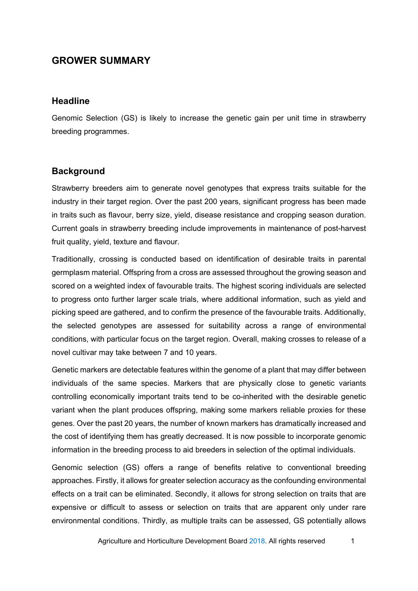# **GROWER SUMMARY**

#### **Headline**

Genomic Selection (GS) is likely to increase the genetic gain per unit time in strawberry breeding programmes.

#### **Background**

Strawberry breeders aim to generate novel genotypes that express traits suitable for the industry in their target region. Over the past 200 years, significant progress has been made in traits such as flavour, berry size, yield, disease resistance and cropping season duration. Current goals in strawberry breeding include improvements in maintenance of post-harvest fruit quality, yield, texture and flavour.

Traditionally, crossing is conducted based on identification of desirable traits in parental germplasm material. Offspring from a cross are assessed throughout the growing season and scored on a weighted index of favourable traits. The highest scoring individuals are selected to progress onto further larger scale trials, where additional information, such as yield and picking speed are gathered, and to confirm the presence of the favourable traits. Additionally, the selected genotypes are assessed for suitability across a range of environmental conditions, with particular focus on the target region. Overall, making crosses to release of a novel cultivar may take between 7 and 10 years.

Genetic markers are detectable features within the genome of a plant that may differ between individuals of the same species. Markers that are physically close to genetic variants controlling economically important traits tend to be co-inherited with the desirable genetic variant when the plant produces offspring, making some markers reliable proxies for these genes. Over the past 20 years, the number of known markers has dramatically increased and the cost of identifying them has greatly decreased. It is now possible to incorporate genomic information in the breeding process to aid breeders in selection of the optimal individuals.

Genomic selection (GS) offers a range of benefits relative to conventional breeding approaches. Firstly, it allows for greater selection accuracy as the confounding environmental effects on a trait can be eliminated. Secondly, it allows for strong selection on traits that are expensive or difficult to assess or selection on traits that are apparent only under rare environmental conditions. Thirdly, as multiple traits can be assessed, GS potentially allows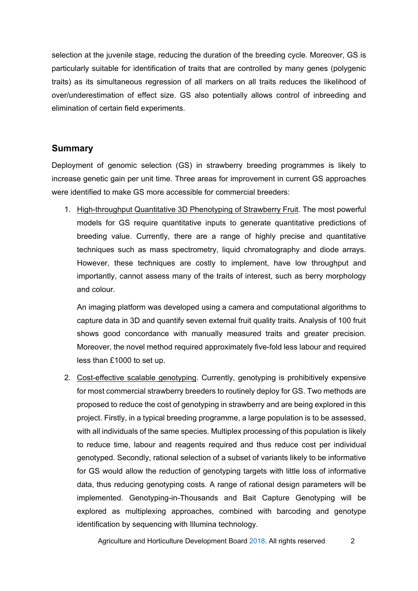selection at the juvenile stage, reducing the duration of the breeding cycle. Moreover, GS is particularly suitable for identification of traits that are controlled by many genes (polygenic traits) as its simultaneous regression of all markers on all traits reduces the likelihood of over/underestimation of effect size. GS also potentially allows control of inbreeding and elimination of certain field experiments.

## **Summary**

Deployment of genomic selection (GS) in strawberry breeding programmes is likely to increase genetic gain per unit time. Three areas for improvement in current GS approaches were identified to make GS more accessible for commercial breeders:

1. High-throughput Quantitative 3D Phenotyping of Strawberry Fruit. The most powerful models for GS require quantitative inputs to generate quantitative predictions of breeding value. Currently, there are a range of highly precise and quantitative techniques such as mass spectrometry, liquid chromatography and diode arrays. However, these techniques are costly to implement, have low throughput and importantly, cannot assess many of the traits of interest, such as berry morphology and colour.

An imaging platform was developed using a camera and computational algorithms to capture data in 3D and quantify seven external fruit quality traits. Analysis of 100 fruit shows good concordance with manually measured traits and greater precision. Moreover, the novel method required approximately five-fold less labour and required less than £1000 to set up.

2. Cost-effective scalable genotyping. Currently, genotyping is prohibitively expensive for most commercial strawberry breeders to routinely deploy for GS. Two methods are proposed to reduce the cost of genotyping in strawberry and are being explored in this project. Firstly, in a typical breeding programme, a large population is to be assessed, with all individuals of the same species. Multiplex processing of this population is likely to reduce time, labour and reagents required and thus reduce cost per individual genotyped. Secondly, rational selection of a subset of variants likely to be informative for GS would allow the reduction of genotyping targets with little loss of informative data, thus reducing genotyping costs. A range of rational design parameters will be implemented. Genotyping-in-Thousands and Bait Capture Genotyping will be explored as multiplexing approaches, combined with barcoding and genotype identification by sequencing with Illumina technology.

Agriculture and Horticulture Development Board 2018. All rights reserved 2